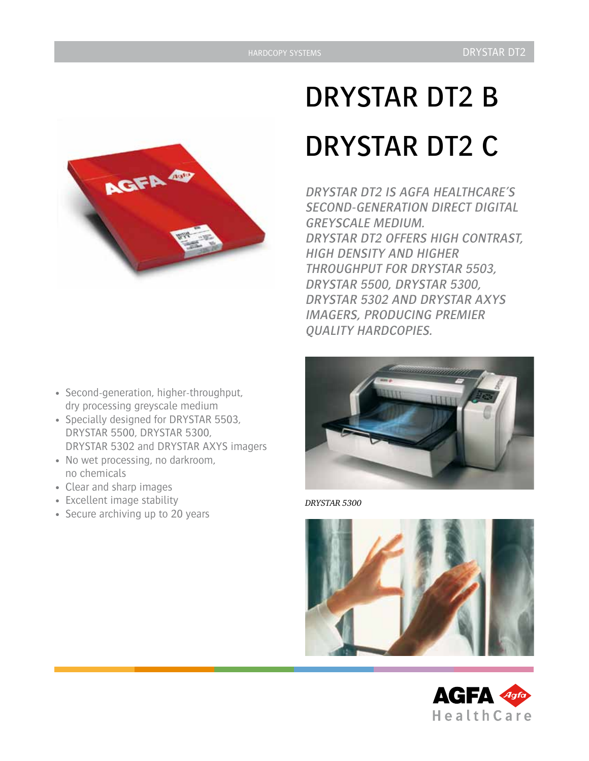

- Second-generation, higher-throughput, dry processing greyscale medium
- Specially designed for DRYSTAR 5503, DRYSTAR 5500, DRYSTAR 5300, DRYSTAR 5302 and DRYSTAR AXYS imagers
- No wet processing, no darkroom, no chemicals
- • Clear and sharp images
- • Excellent image stability
- Secure archiving up to 20 years

# DRYSTAR DT2 B DRYSTAR DT2 C

DRYSTAR DT2 IS AGFA HEALTHCARE'S SECOND-GENERATION DIRECT DIGITAL GREYSCALE MEDIUM. DRYSTAR DT2 OFFERS HIGH CONTRAST, HIGH DENSITY AND HIGHER THROUGHPUT FOR DRYSTAR 5503, DRYSTAR 5500, DRYSTAR 5300, DRYSTAR 5302 AND DRYSTAR AXYS IMAGERS, PRODUCING PREMIER QUALITY HARDCOPIES.



*DRYSTAR 5300*



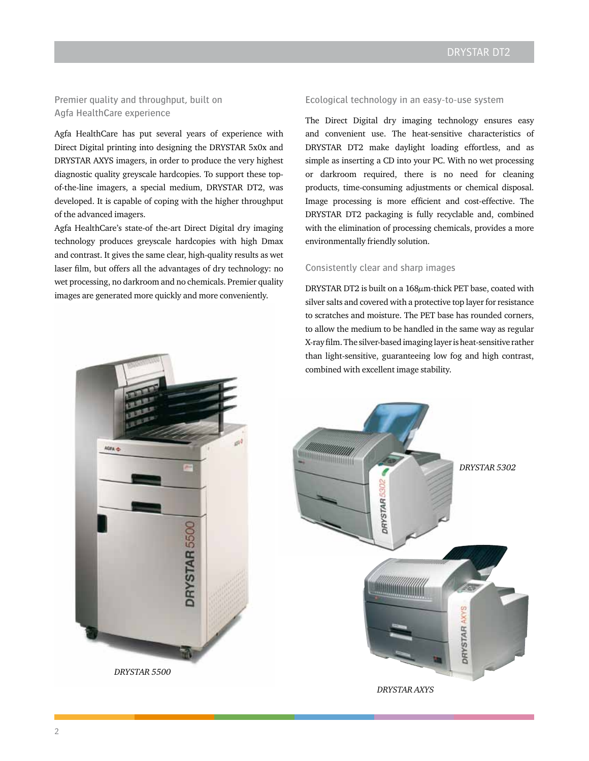Premier quality and throughput, built on Agfa HealthCare experience

Agfa HealthCare has put several years of experience with Direct Digital printing into designing the DRYSTAR 5x0x and DRYSTAR AXYS imagers, in order to produce the very highest diagnostic quality greyscale hardcopies. To support these topof-the-line imagers, a special medium, DRYSTAR DT2, was developed. It is capable of coping with the higher throughput of the advanced imagers.

Agfa HealthCare's state-of the-art Direct Digital dry imaging technology produces greyscale hardcopies with high Dmax and contrast. It gives the same clear, high-quality results as wet laser film, but offers all the advantages of dry technology: no wet processing, no darkroom and no chemicals. Premier quality images are generated more quickly and more conveniently.

## Ecological technology in an easy-to-use system

The Direct Digital dry imaging technology ensures easy and convenient use. The heat-sensitive characteristics of DRYSTAR DT2 make daylight loading effortless, and as simple as inserting a CD into your PC. With no wet processing or darkroom required, there is no need for cleaning products, time-consuming adjustments or chemical disposal. Image processing is more efficient and cost-effective. The DRYSTAR DT2 packaging is fully recyclable and, combined with the elimination of processing chemicals, provides a more environmentally friendly solution.

#### Consistently clear and sharp images

DRYSTAR DT2 is built on a 168μm-thick PET base, coated with silver salts and covered with a protective top layer for resistance to scratches and moisture. The PET base has rounded corners, to allow the medium to be handled in the same way as regular X-ray film. The silver-based imaging layer is heat-sensitive rather than light-sensitive, guaranteeing low fog and high contrast, combined with excellent image stability.



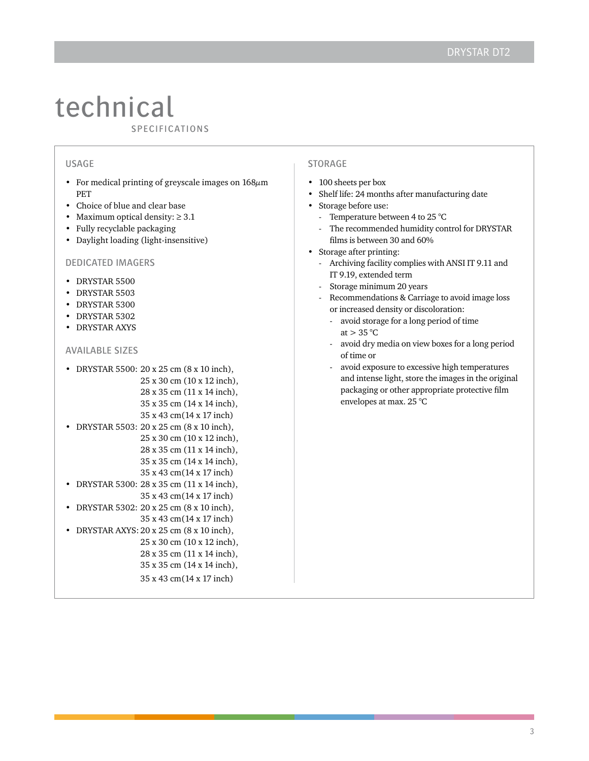# technical  $\frac{1}{s}$

# **USAGE**

- For medical printing of greyscale images on  $168\mu$ m PET
- • Choice of blue and clear base
- Maximum optical density:  $\geq 3.1$
- • Fully recyclable packaging
- • Daylight loading (light-insensitive)

#### dedicated imagers

- • DRYSTAR 5500
- • DRYSTAR 5503
- • DRYSTAR 5300
- • DRYSTAR 5302
- • DRYSTAR AXYS

## Available sizes

|  | • DRYSTAR 5500: 20 x 25 cm (8 x 10 inch), |
|--|-------------------------------------------|
|  | 25 x 30 cm (10 x 12 inch),                |
|  | 28 x 35 cm (11 x 14 inch),                |
|  | 35 x 35 cm (14 x 14 inch),                |
|  | 35 x 43 cm (14 x 17 inch)                 |
|  | • DRYSTAR 5503: 20 x 25 cm (8 x 10 inch), |
|  | 25 x 30 cm (10 x 12 inch),                |

- 35 x 43 cm(14 x 17 inch) • DRYSTAR 5300: 28 x 35 cm (11 x 14 inch),
- 35 x 43 cm(14 x 17 inch) • DRYSTAR 5302: 20 x 25 cm (8 x 10 inch), 35 x 43 cm(14 x 17 inch)
- DRYSTAR AXYS:  $20 \times 25$  cm (8  $\times$  10 inch), 25 x 30 cm (10 x 12 inch),
	- 28 x 35 cm (11 x 14 inch),

28 x 35 cm (11 x 14 inch), 35 x 35 cm (14 x 14 inch),

35 x 35 cm (14 x 14 inch),

# 35 x 43 cm(14 x 17 inch)

#### **STORAGE**

- 100 sheets per box
- • Shelf life: 24 months after manufacturing date
- Storage before use:
	- Temperature between 4 to 25  $^{\circ}$ C
	- The recommended humidity control for DRYSTAR films is between 30 and 60%
- Storage after printing:
	- Archiving facility complies with ANSI IT 9.11 and IT 9.19, extended term
	- Storage minimum 20 years
	- Recommendations & Carriage to avoid image loss or increased density or discoloration:
		- avoid storage for a long period of time at  $> 35$  °C
		- avoid dry media on view boxes for a long period of time or
		- avoid exposure to excessive high temperatures and intense light, store the images in the original packaging or other appropriate protective film envelopes at max. 25 °C